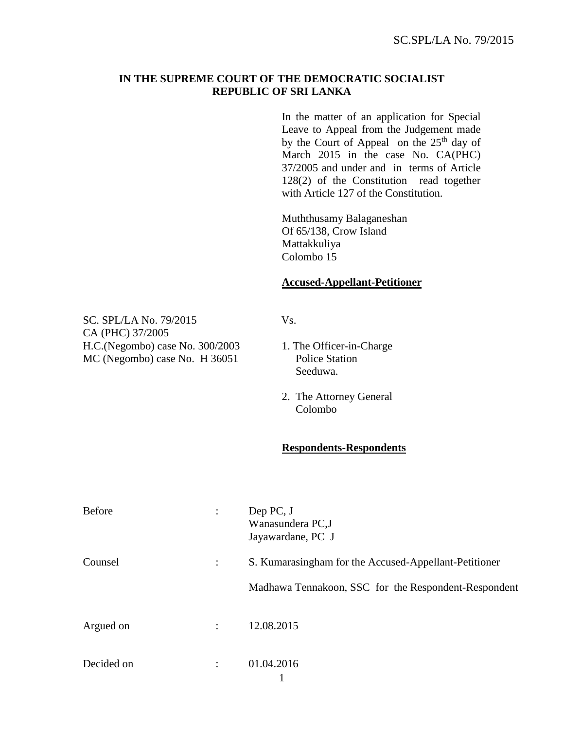## **IN THE SUPREME COURT OF THE DEMOCRATIC SOCIALIST REPUBLIC OF SRI LANKA**

In the matter of an application for Special Leave to Appeal from the Judgement made by the Court of Appeal on the  $25<sup>th</sup>$  day of March 2015 in the case No. CA(PHC) 37/2005 and under and in terms of Article 128(2) of the Constitution read together with Article 127 of the Constitution.

Muththusamy Balaganeshan Of 65/138, Crow Island Mattakkuliya Colombo 15

## **Accused-Appellant-Petitioner**

SC. SPL/LA No. 79/2015 Vs. CA (PHC) 37/2005 H.C.(Negombo) case No. 300/2003 1. The Officer-in-Charge MC (Negombo) case No. H 36051 Police Station

- Seeduwa.
- 2. The Attorney General Colombo

## **Respondents-Respondents**

| <b>Before</b> | ÷                    | Dep PC, J<br>Wanasundera PC,J<br>Jayawardane, PC J                                                            |
|---------------|----------------------|---------------------------------------------------------------------------------------------------------------|
| Counsel       |                      | S. Kumarasingham for the Accused-Appellant-Petitioner<br>Madhawa Tennakoon, SSC for the Respondent-Respondent |
| Argued on     | $\ddot{\phantom{a}}$ | 12.08.2015                                                                                                    |
| Decided on    |                      | 01.04.2016                                                                                                    |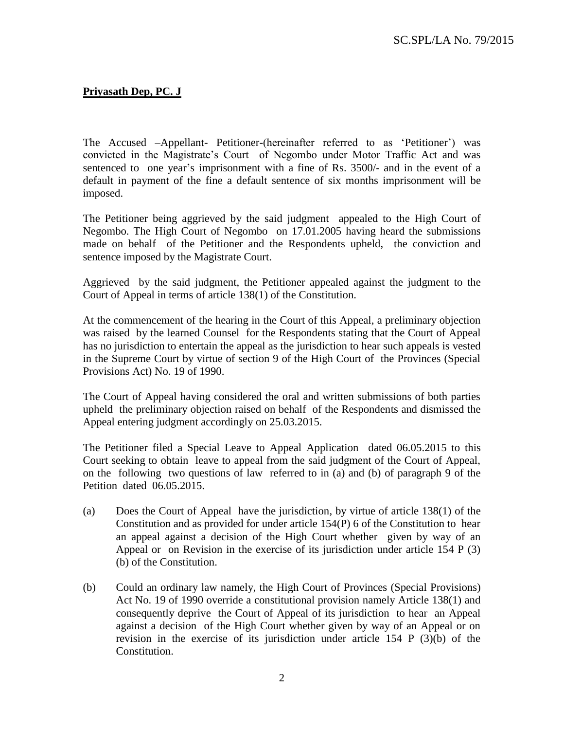## **Priyasath Dep, PC. J**

The Accused –Appellant- Petitioner-(hereinafter referred to as 'Petitioner') was convicted in the Magistrate's Court of Negombo under Motor Traffic Act and was sentenced to one year's imprisonment with a fine of Rs. 3500/- and in the event of a default in payment of the fine a default sentence of six months imprisonment will be imposed.

The Petitioner being aggrieved by the said judgment appealed to the High Court of Negombo. The High Court of Negombo on 17.01.2005 having heard the submissions made on behalf of the Petitioner and the Respondents upheld, the conviction and sentence imposed by the Magistrate Court.

Aggrieved by the said judgment, the Petitioner appealed against the judgment to the Court of Appeal in terms of article 138(1) of the Constitution.

At the commencement of the hearing in the Court of this Appeal, a preliminary objection was raised by the learned Counsel for the Respondents stating that the Court of Appeal has no jurisdiction to entertain the appeal as the jurisdiction to hear such appeals is vested in the Supreme Court by virtue of section 9 of the High Court of the Provinces (Special Provisions Act) No. 19 of 1990.

The Court of Appeal having considered the oral and written submissions of both parties upheld the preliminary objection raised on behalf of the Respondents and dismissed the Appeal entering judgment accordingly on 25.03.2015.

The Petitioner filed a Special Leave to Appeal Application dated 06.05.2015 to this Court seeking to obtain leave to appeal from the said judgment of the Court of Appeal, on the following two questions of law referred to in (a) and (b) of paragraph 9 of the Petition dated 06.05.2015.

- (a) Does the Court of Appeal have the jurisdiction, by virtue of article 138(1) of the Constitution and as provided for under article 154(P) 6 of the Constitution to hear an appeal against a decision of the High Court whether given by way of an Appeal or on Revision in the exercise of its jurisdiction under article 154 P (3) (b) of the Constitution.
- (b) Could an ordinary law namely, the High Court of Provinces (Special Provisions) Act No. 19 of 1990 override a constitutional provision namely Article 138(1) and consequently deprive the Court of Appeal of its jurisdiction to hear an Appeal against a decision of the High Court whether given by way of an Appeal or on revision in the exercise of its jurisdiction under article 154 P (3)(b) of the Constitution.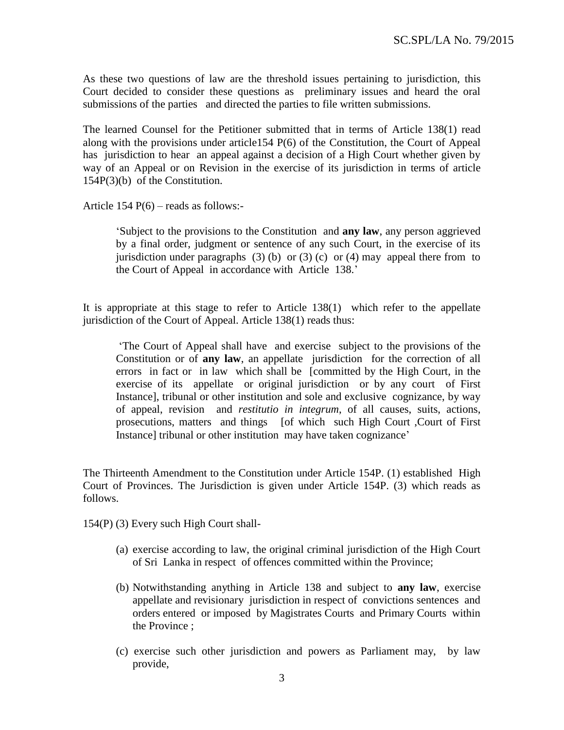As these two questions of law are the threshold issues pertaining to jurisdiction, this Court decided to consider these questions as preliminary issues and heard the oral submissions of the parties and directed the parties to file written submissions.

The learned Counsel for the Petitioner submitted that in terms of Article 138(1) read along with the provisions under article154 P(6) of the Constitution, the Court of Appeal has jurisdiction to hear an appeal against a decision of a High Court whether given by way of an Appeal or on Revision in the exercise of its jurisdiction in terms of article 154P(3)(b) of the Constitution.

Article  $154 P(6)$  – reads as follows:-

'Subject to the provisions to the Constitution and **any law**, any person aggrieved by a final order, judgment or sentence of any such Court, in the exercise of its jurisdiction under paragraphs (3) (b) or (3) (c) or (4) may appeal there from to the Court of Appeal in accordance with Article 138.'

It is appropriate at this stage to refer to Article 138(1) which refer to the appellate jurisdiction of the Court of Appeal. Article 138(1) reads thus:

'The Court of Appeal shall have and exercise subject to the provisions of the Constitution or of **any law**, an appellate jurisdiction for the correction of all errors in fact or in law which shall be [committed by the High Court, in the exercise of its appellate or original jurisdiction or by any court of First Instance], tribunal or other institution and sole and exclusive cognizance, by way of appeal, revision and *restitutio in integrum*, of all causes, suits, actions, prosecutions, matters and things [of which such High Court ,Court of First Instance] tribunal or other institution may have taken cognizance'

The Thirteenth Amendment to the Constitution under Article 154P. (1) established High Court of Provinces. The Jurisdiction is given under Article 154P. (3) which reads as follows.

154(P) (3) Every such High Court shall-

- (a) exercise according to law, the original criminal jurisdiction of the High Court of Sri Lanka in respect of offences committed within the Province;
- (b) Notwithstanding anything in Article 138 and subject to **any law**, exercise appellate and revisionary jurisdiction in respect of convictions sentences and orders entered or imposed by Magistrates Courts and Primary Courts within the Province ;
- (c) exercise such other jurisdiction and powers as Parliament may, by law provide,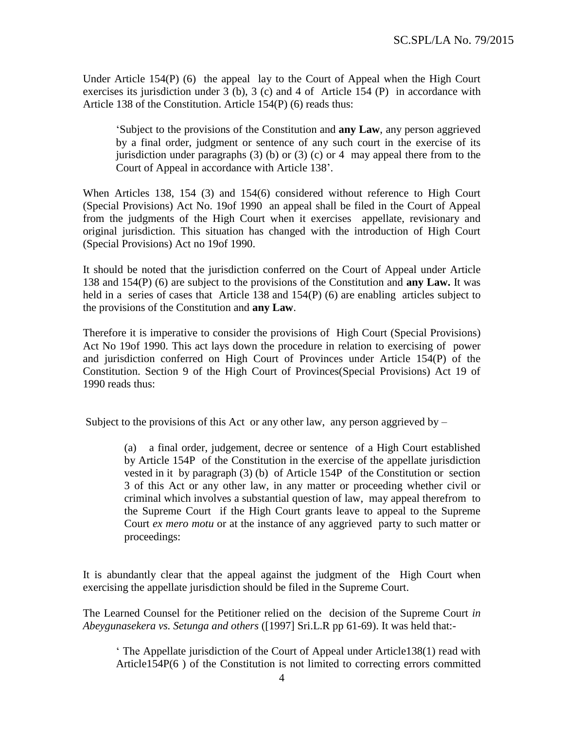Under Article 154(P) (6) the appeal lay to the Court of Appeal when the High Court exercises its jurisdiction under 3 (b), 3 (c) and 4 of Article 154 (P) in accordance with Article 138 of the Constitution. Article 154(P) (6) reads thus:

'Subject to the provisions of the Constitution and **any Law**, any person aggrieved by a final order, judgment or sentence of any such court in the exercise of its jurisdiction under paragraphs (3) (b) or (3) (c) or 4 may appeal there from to the Court of Appeal in accordance with Article 138'.

When Articles 138, 154 (3) and 154(6) considered without reference to High Court (Special Provisions) Act No. 19of 1990 an appeal shall be filed in the Court of Appeal from the judgments of the High Court when it exercises appellate, revisionary and original jurisdiction. This situation has changed with the introduction of High Court (Special Provisions) Act no 19of 1990.

It should be noted that the jurisdiction conferred on the Court of Appeal under Article 138 and 154(P) (6) are subject to the provisions of the Constitution and **any Law.** It was held in a series of cases that Article 138 and 154(P) (6) are enabling articles subject to the provisions of the Constitution and **any Law**.

Therefore it is imperative to consider the provisions of High Court (Special Provisions) Act No 19of 1990. This act lays down the procedure in relation to exercising of power and jurisdiction conferred on High Court of Provinces under Article 154(P) of the Constitution. Section 9 of the High Court of Provinces(Special Provisions) Act 19 of 1990 reads thus:

Subject to the provisions of this Act or any other law, any person aggrieved by  $-$ 

(a) a final order, judgement, decree or sentence of a High Court established by Article 154P of the Constitution in the exercise of the appellate jurisdiction vested in it by paragraph (3) (b) of Article 154P of the Constitution or section 3 of this Act or any other law, in any matter or proceeding whether civil or criminal which involves a substantial question of law, may appeal therefrom to the Supreme Court if the High Court grants leave to appeal to the Supreme Court *ex mero motu* or at the instance of any aggrieved party to such matter or proceedings:

It is abundantly clear that the appeal against the judgment of the High Court when exercising the appellate jurisdiction should be filed in the Supreme Court.

The Learned Counsel for the Petitioner relied on the decision of the Supreme Court *in Abeygunasekera vs. Setunga and others* ([1997] Sri.L.R pp 61-69). It was held that:-

' The Appellate jurisdiction of the Court of Appeal under Article138(1) read with Article154P(6 ) of the Constitution is not limited to correcting errors committed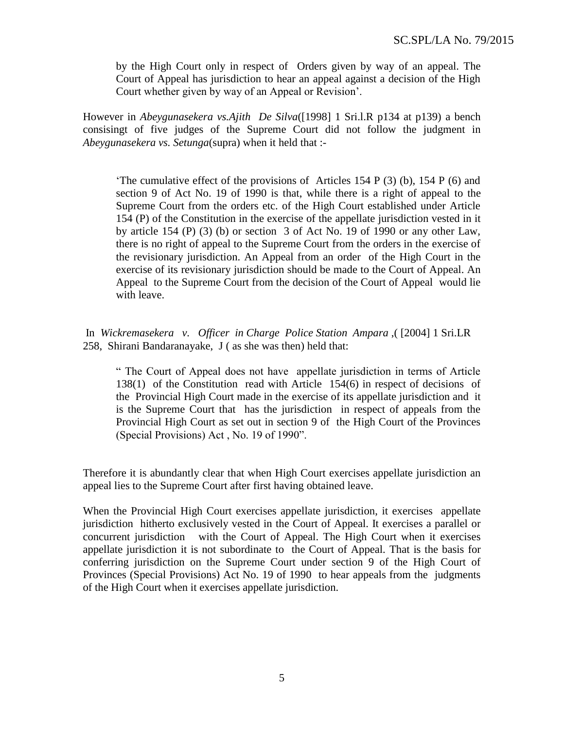by the High Court only in respect of Orders given by way of an appeal. The Court of Appeal has jurisdiction to hear an appeal against a decision of the High Court whether given by way of an Appeal or Revision'.

However in *Abeygunasekera vs.Ajith De Silva*([1998] 1 Sri.l.R p134 at p139) a bench consisingt of five judges of the Supreme Court did not follow the judgment in *Abeygunasekera vs. Setunga*(supra) when it held that :-

'The cumulative effect of the provisions of Articles 154 P (3) (b), 154 P (6) and section 9 of Act No. 19 of 1990 is that, while there is a right of appeal to the Supreme Court from the orders etc. of the High Court established under Article 154 (P) of the Constitution in the exercise of the appellate jurisdiction vested in it by article  $154$  (P) (3) (b) or section 3 of Act No. 19 of 1990 or any other Law, there is no right of appeal to the Supreme Court from the orders in the exercise of the revisionary jurisdiction. An Appeal from an order of the High Court in the exercise of its revisionary jurisdiction should be made to the Court of Appeal. An Appeal to the Supreme Court from the decision of the Court of Appeal would lie with leave.

In *Wickremasekera v. Officer in Charge Police Station Ampara* ,( [2004] 1 Sri.LR 258, Shirani Bandaranayake, J ( as she was then) held that:

" The Court of Appeal does not have appellate jurisdiction in terms of Article 138(1) of the Constitution read with Article 154(6) in respect of decisions of the Provincial High Court made in the exercise of its appellate jurisdiction and it is the Supreme Court that has the jurisdiction in respect of appeals from the Provincial High Court as set out in section 9 of the High Court of the Provinces (Special Provisions) Act , No. 19 of 1990".

Therefore it is abundantly clear that when High Court exercises appellate jurisdiction an appeal lies to the Supreme Court after first having obtained leave.

When the Provincial High Court exercises appellate jurisdiction, it exercises appellate jurisdiction hitherto exclusively vested in the Court of Appeal. It exercises a parallel or concurrent jurisdiction with the Court of Appeal. The High Court when it exercises appellate jurisdiction it is not subordinate to the Court of Appeal. That is the basis for conferring jurisdiction on the Supreme Court under section 9 of the High Court of Provinces (Special Provisions) Act No. 19 of 1990 to hear appeals from the judgments of the High Court when it exercises appellate jurisdiction.